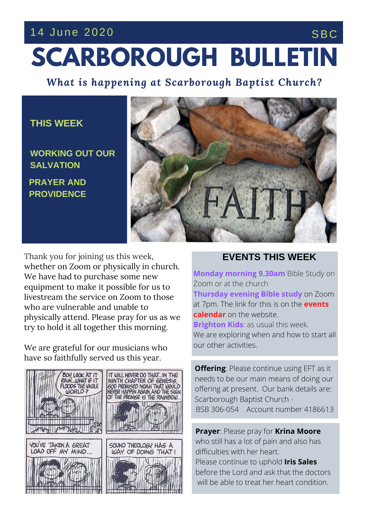## 14 June 2020 SBC

# **SCARBOROUGH BULLETIN**

*What is happening at Scarborough Baptist Church?*

#### **THIS WEEK**

**PRAYER AND PROVIDENCE WORKING OUT OUR SALVATION**



**THE SERVICE THIS** try to hold it all together this morning. Thank you for joining us this week, whether on Zoom or physically in church. We have had to purchase some new equipment to make it possible for us to livestream the service on Zoom to those who are vulnerable and unable to physically attend. Please pray for us as we

We are grateful for our musicians who have so faithfully served us this year.



#### **EVENTS THIS WEEK**

**Monday morning 9.30am** Bible Study on Zoom or at the church **Thursday evening Bible study** on Zoom at 7pm. The link for this is on the **events calendar** on the website. **Brighton Kids**: as usual this week. We are exploring when and how to start all our other activities.

**Offering**: Please continue using EFT as it needs to be our main means of doing our offering at present. Our bank details are: Scarborough Baptist Church - BSB 306-054 Account number 4186613

**Prayer**: Please pray for **Krina Moore** who still has a lot of pain and also has difficulties with her heart. Please continue to uphold **Iris Sales** before the Lord and ask that the doctors will be able to treat her heart condition.